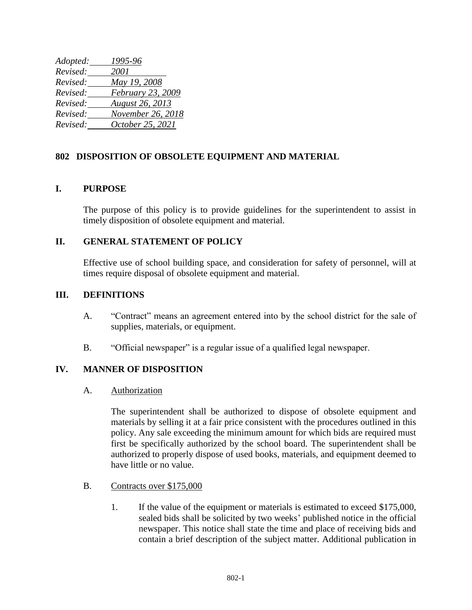*Adopted: 1995-96 Revised: 2001 Revised: May 19, 2008 Revised: February 23, 2009 Revised: August 26, 2013 Revised: November 26, 2018 Revised: October 25, 2021*

# **802 DISPOSITION OF OBSOLETE EQUIPMENT AND MATERIAL**

## **I. PURPOSE**

The purpose of this policy is to provide guidelines for the superintendent to assist in timely disposition of obsolete equipment and material.

## **II. GENERAL STATEMENT OF POLICY**

Effective use of school building space, and consideration for safety of personnel, will at times require disposal of obsolete equipment and material.

#### **III. DEFINITIONS**

- A. "Contract" means an agreement entered into by the school district for the sale of supplies, materials, or equipment.
- B. "Official newspaper" is a regular issue of a qualified legal newspaper.

#### **IV. MANNER OF DISPOSITION**

#### A. Authorization

The superintendent shall be authorized to dispose of obsolete equipment and materials by selling it at a fair price consistent with the procedures outlined in this policy. Any sale exceeding the minimum amount for which bids are required must first be specifically authorized by the school board. The superintendent shall be authorized to properly dispose of used books, materials, and equipment deemed to have little or no value.

- B. Contracts over \$175,000
	- 1. If the value of the equipment or materials is estimated to exceed \$175,000, sealed bids shall be solicited by two weeks' published notice in the official newspaper. This notice shall state the time and place of receiving bids and contain a brief description of the subject matter. Additional publication in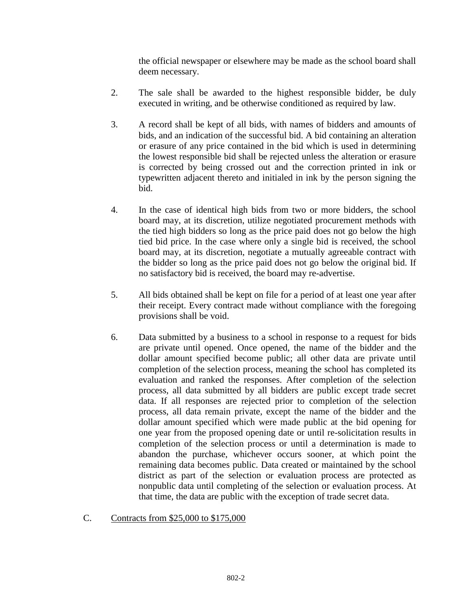the official newspaper or elsewhere may be made as the school board shall deem necessary.

- 2. The sale shall be awarded to the highest responsible bidder, be duly executed in writing, and be otherwise conditioned as required by law.
- 3. A record shall be kept of all bids, with names of bidders and amounts of bids, and an indication of the successful bid. A bid containing an alteration or erasure of any price contained in the bid which is used in determining the lowest responsible bid shall be rejected unless the alteration or erasure is corrected by being crossed out and the correction printed in ink or typewritten adjacent thereto and initialed in ink by the person signing the bid.
- 4. In the case of identical high bids from two or more bidders, the school board may, at its discretion, utilize negotiated procurement methods with the tied high bidders so long as the price paid does not go below the high tied bid price. In the case where only a single bid is received, the school board may, at its discretion, negotiate a mutually agreeable contract with the bidder so long as the price paid does not go below the original bid. If no satisfactory bid is received, the board may re-advertise.
- 5. All bids obtained shall be kept on file for a period of at least one year after their receipt. Every contract made without compliance with the foregoing provisions shall be void.
- 6. Data submitted by a business to a school in response to a request for bids are private until opened. Once opened, the name of the bidder and the dollar amount specified become public; all other data are private until completion of the selection process, meaning the school has completed its evaluation and ranked the responses. After completion of the selection process, all data submitted by all bidders are public except trade secret data. If all responses are rejected prior to completion of the selection process, all data remain private, except the name of the bidder and the dollar amount specified which were made public at the bid opening for one year from the proposed opening date or until re-solicitation results in completion of the selection process or until a determination is made to abandon the purchase, whichever occurs sooner, at which point the remaining data becomes public. Data created or maintained by the school district as part of the selection or evaluation process are protected as nonpublic data until completing of the selection or evaluation process. At that time, the data are public with the exception of trade secret data.

#### C. Contracts from \$25,000 to \$175,000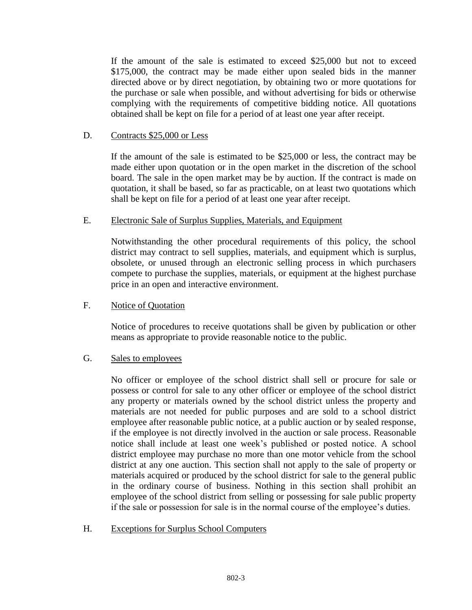If the amount of the sale is estimated to exceed \$25,000 but not to exceed \$175,000, the contract may be made either upon sealed bids in the manner directed above or by direct negotiation, by obtaining two or more quotations for the purchase or sale when possible, and without advertising for bids or otherwise complying with the requirements of competitive bidding notice. All quotations obtained shall be kept on file for a period of at least one year after receipt.

## D. Contracts \$25,000 or Less

If the amount of the sale is estimated to be \$25,000 or less, the contract may be made either upon quotation or in the open market in the discretion of the school board. The sale in the open market may be by auction. If the contract is made on quotation, it shall be based, so far as practicable, on at least two quotations which shall be kept on file for a period of at least one year after receipt.

## E. Electronic Sale of Surplus Supplies, Materials, and Equipment

Notwithstanding the other procedural requirements of this policy, the school district may contract to sell supplies, materials, and equipment which is surplus, obsolete, or unused through an electronic selling process in which purchasers compete to purchase the supplies, materials, or equipment at the highest purchase price in an open and interactive environment.

### F. Notice of Quotation

Notice of procedures to receive quotations shall be given by publication or other means as appropriate to provide reasonable notice to the public.

#### G. Sales to employees

No officer or employee of the school district shall sell or procure for sale or possess or control for sale to any other officer or employee of the school district any property or materials owned by the school district unless the property and materials are not needed for public purposes and are sold to a school district employee after reasonable public notice, at a public auction or by sealed response, if the employee is not directly involved in the auction or sale process. Reasonable notice shall include at least one week's published or posted notice. A school district employee may purchase no more than one motor vehicle from the school district at any one auction. This section shall not apply to the sale of property or materials acquired or produced by the school district for sale to the general public in the ordinary course of business. Nothing in this section shall prohibit an employee of the school district from selling or possessing for sale public property if the sale or possession for sale is in the normal course of the employee's duties.

# H. Exceptions for Surplus School Computers